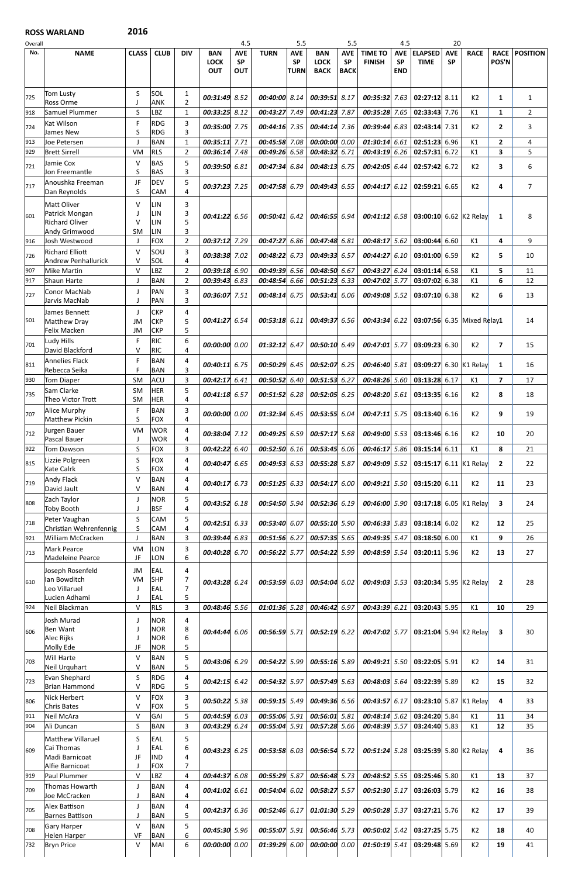## ROSS WARLAND 2016

| Overall |                                        |                 |                          |                |                 | 4.5        |                 | 5.5         |                 | 5.5         |                                                         | 4.5        |                                      | 20         |                |                         |                 |
|---------|----------------------------------------|-----------------|--------------------------|----------------|-----------------|------------|-----------------|-------------|-----------------|-------------|---------------------------------------------------------|------------|--------------------------------------|------------|----------------|-------------------------|-----------------|
| No.     | <b>NAME</b>                            | <b>CLASS</b>    | <b>CLUB</b>              | <b>DIV</b>     | <b>BAN</b>      | <b>AVE</b> | <b>TURN</b>     | <b>AVE</b>  | <b>BAN</b>      | <b>AVE</b>  | <b>TIME TO</b>                                          | <b>AVE</b> | <b>ELAPSED</b>                       | <b>AVE</b> | <b>RACE</b>    | <b>RACE</b>             | <b>POSITION</b> |
|         |                                        |                 |                          |                | <b>LOCK</b>     | <b>SP</b>  |                 | <b>SP</b>   | <b>LOCK</b>     | <b>SP</b>   | <b>FINISH</b>                                           | <b>SP</b>  | <b>TIME</b>                          | <b>SP</b>  |                | POS'N                   |                 |
|         |                                        |                 |                          |                | <b>OUT</b>      | <b>OUT</b> |                 | <b>TURN</b> | <b>BACK</b>     | <b>BACK</b> |                                                         | <b>END</b> |                                      |            |                |                         |                 |
|         |                                        |                 |                          |                |                 |            |                 |             |                 |             |                                                         |            |                                      |            |                |                         |                 |
| 725     | Tom Lusty                              | S               | SOL                      | 1              | 00:31:49 8.52   |            | 00:40:00 8.14   |             | 00:39:51 8.17   |             | $00:35:32$ 7.63                                         |            | 02:27:12 8.11                        |            | K <sub>2</sub> | 1                       | $\mathbf{1}$    |
|         | <b>Ross Orme</b>                       |                 | <b>ANK</b>               | $\overline{2}$ |                 |            |                 |             |                 |             |                                                         |            |                                      |            |                |                         |                 |
| 918     | Samuel Plummer                         | $\mathsf S$     | LBZ                      | $\mathbf{1}$   | 00:33:25 8.12   |            | 00:43:27 7.49   |             | 00:41:23 7.87   |             | $00:35:28$ 7.65                                         |            | 02:33:43 7.76                        |            | K1             | $\mathbf{1}$            | $\overline{2}$  |
| 724     | Kat Wilson                             | F.              | <b>RDG</b>               | 3              | 00:35:00 7.75   |            | $00:44:16$ 7.35 |             | 00:44:14 7.36   |             | $00:39:44$ 6.83                                         |            | 02:43:14 7.31                        |            | K <sub>2</sub> | $\overline{2}$          | 3               |
|         | James New                              | S               | <b>RDG</b>               | 3              |                 |            |                 |             |                 |             |                                                         |            |                                      |            |                |                         |                 |
| 913     | Joe Petersen                           | J               | <b>BAN</b>               | $\mathbf{1}$   | 00:35:11 7.71   |            | 00:45:58 7.08   |             | 00:00:00 0.00   |             | $01:30:14$ 6.61                                         |            | $02:51:23$ 6.96                      |            | K1             | $\overline{2}$          | 4               |
| 929     | <b>Brett Sirrell</b>                   | <b>VM</b>       | <b>RLS</b>               | $\overline{2}$ | 00:36:14 7.48   |            | 00:49:26 6.58   |             | 00:48:32 6.71   |             | 00:43:1966.26                                           |            | 02:57:31 6.72                        |            | K1             | 3                       | 5               |
| 721     | Jamie Cox                              | $\vee$          | <b>BAS</b>               | 5              | 00:39:50 6.81   |            | 00:47:34 6.84   |             | 00:48:13 6.75   |             | $00:42:05$ 6.44                                         |            | 02:57:42 6.72                        |            | K <sub>2</sub> | 3                       | 6               |
|         | Jon Freemantle                         | S               | <b>BAS</b>               | 3              |                 |            |                 |             |                 |             |                                                         |            |                                      |            |                |                         |                 |
| 717     | Anoushka Freeman                       | JF              | <b>DEV</b>               | 5              | 00:37:23 7.25   |            | 00:47:58 6.79   |             | 00:49:43 6.55   |             | 00:44:176.12                                            |            | 02:59:21 6.65                        |            | K2             | 4                       | $\overline{7}$  |
|         | Dan Reynolds                           | S               | CAM                      | 4              |                 |            |                 |             |                 |             |                                                         |            |                                      |            |                |                         |                 |
|         | <b>Matt Oliver</b>                     | V               | LIN                      | 3              |                 |            |                 |             |                 |             |                                                         |            |                                      |            |                |                         |                 |
| 601     | Patrick Mongan                         |                 | LIN                      | 3              | 00:41:22 6.56   |            | $00:50:41$ 6.42 |             | 00:46:5566.94   |             | $00:41:12$ 6.58                                         |            | 03:00:10 6.62 K2 Relay               |            |                | 1                       | 8               |
|         | <b>Richard Oliver</b><br>Andy Grimwood | v<br>SM         | <b>LIN</b><br><b>LIN</b> | 5<br>3         |                 |            |                 |             |                 |             |                                                         |            |                                      |            |                |                         |                 |
| 916     | Josh Westwood                          | $\perp$         | <b>FOX</b>               | $\overline{2}$ | 00:37:12 7.29   |            | 00:47:27        | 6.86        | 00:47:48 6.81   |             | $00:48:17$ 5.62                                         |            | $03:00:44$ 6.60                      |            | K1             | 4                       | 9               |
|         | <b>Richard Elliott</b>                 | $\vee$          | SOU                      |                |                 |            |                 |             |                 |             |                                                         |            |                                      |            |                |                         |                 |
| 726     | <b>Andrew Penhallurick</b>             | V               | SOL                      | 3<br>4         | 00:38:38 7.02   |            | 00:48:22 6.73   |             | 00:49:33 6.57   |             | 00:44:2766.10                                           |            | 03:01:00 6.59                        |            | K <sub>2</sub> | 5                       | 10              |
| 907     | <b>Mike Martin</b>                     | $\vee$          | LBZ                      | $\overline{2}$ | 00:39:18 6.90   |            | 00:49:39        | 6.56        | 00:48:50 6.67   |             | 00:43:276.24                                            |            | $03:01:14$ 6.58                      |            | K1             | 5                       | 11              |
| 917     | Shaun Harte                            | J               | <b>BAN</b>               | $\overline{2}$ | 00:39:43 6.83   |            | 00:48:54        | 6.66        | $00:51:23$ 6.33 |             | 00:47:02 5.77                                           |            | 03:07:02 6.38                        |            | K1             | 6                       | 12              |
|         | Conor MacNab                           | $\perp$         | PAN                      | 3              |                 |            |                 |             |                 |             |                                                         |            |                                      |            |                |                         |                 |
| 727     | Jarvis MacNab                          | $\mathbf{I}$    | PAN                      | 3              | 00:36:07 7.51   |            | 00:48:14        | 6.75        | 00:53:41        | 6.06        | $00:49:08$ 5.52                                         |            | 03:07:10 6.38                        |            | K <sub>2</sub> | 6                       | 13              |
|         | James Bennett                          | - 1             | <b>CKP</b>               | 4              |                 |            |                 |             |                 |             |                                                         |            |                                      |            |                |                         |                 |
| 501     | Matthew Dray                           | JM              | <b>CKP</b>               | 5              | 00:41:27 6.54   |            | $00:53:18$ 6.11 |             | 00:49:3766      |             | 00:43:34 6.22                                           |            | 03:07:56 6.35 Mixed Relay1           |            |                |                         | 14              |
|         | Felix Macken                           | JM              | <b>CKP</b>               | 5              |                 |            |                 |             |                 |             |                                                         |            |                                      |            |                |                         |                 |
| 701     | Ludy Hills                             | F.              | <b>RIC</b>               | 6              | 00:00:00 0.00   |            | $01:32:12$ 6.47 |             | $00:50:10$ 6.49 |             | $00:47:01$ 5.77                                         |            | 03:09:23 6.30                        |            | K <sub>2</sub> | $\overline{\mathbf{z}}$ | 15              |
|         | David Blackford                        | V               | <b>RIC</b>               | 4              |                 |            |                 |             |                 |             |                                                         |            |                                      |            |                |                         |                 |
| 811     | <b>Annelies Flack</b>                  | F               | <b>BAN</b>               | 4              | $00:40:11$ 6.75 |            | 00:50:29 6.45   |             | 00:52:07 6.25   |             | 00:46:40 5.81                                           |            | 03:09:27 6.30 K1 Relay               |            |                | <sup>1</sup>            | 16              |
|         | Rebecca Seika                          | F               | <b>BAN</b>               | 3              |                 |            |                 |             |                 |             |                                                         |            |                                      |            |                |                         |                 |
| 930     | <b>Tom Diaper</b>                      | SM              | ACU                      | 3              | 00:42:17 6.41   |            | $00:50:52$ 6.40 |             | 00:51:53 6.27   |             | $00:48:26$ 5.60                                         |            | 03:13:28 6.17                        |            | K1             | $\overline{7}$          | 17              |
| 735     | Sam Clarke                             | <b>SM</b>       | <b>HER</b>               | 5              | 00:41:18 6.57   |            | 00:51:52 6.28   |             | $00:52:05$ 6.25 |             | $00:48:20$ 5.61                                         |            | $03:13:35$ 6.16                      |            | K <sub>2</sub> | 8                       | 18              |
|         | Theo Victor Trott                      | <b>SM</b>       | <b>HER</b>               | 4              |                 |            |                 |             |                 |             |                                                         |            |                                      |            |                |                         |                 |
| 707     | Alice Murphy                           | F.              | <b>BAN</b>               | 3<br>4         | 00:00:00 0.00   |            | 01:32:34 6.45   |             | 00:53:55 6.04   |             | $00:47:11$ 5.75                                         |            | $03:13:40$ 6.16                      |            | K2             | 9                       | 19              |
|         | Matthew Pickin                         | S               | <b>FOX</b><br><b>WOR</b> |                |                 |            |                 |             |                 |             |                                                         |            |                                      |            |                |                         |                 |
| 712     | Jurgen Bauer<br>Pascal Bauer           | <b>VM</b><br>J  | <b>WOR</b>               | 4<br>4         | 00:38:04 7.12   |            | 00:49:25 6.59   |             | 00:57:17 5.68   |             | $00:49:00$ 5.53                                         |            | 03:13:46 6.16                        |            | K <sub>2</sub> | 10                      | 20              |
| 922     | Tom Dawson                             | S               | <b>FOX</b>               | 3              | 00:42:22 6.40   |            | $00:52:50$ 6.16 |             | 00:53:45 6.06   |             | $00:46:17$ 5.86                                         |            | $03:15:14$ 6.11                      |            | K1             | 8                       | 21              |
|         | Lizzie Polgreen                        | S               | <b>FOX</b>               | 4              |                 |            |                 |             |                 |             |                                                         |            |                                      |            |                |                         |                 |
| 815     | <b>Kate Calrk</b>                      | S               | <b>FOX</b>               | 4              | 00:40:47 6.65   |            | $00:49:53$ 6.53 |             | 00:55:28 5.87   |             | $00:49:09$ 5.52                                         |            | 03:15:17 6.11 K1 Relay               |            |                | $\mathbf{2}$            | 22              |
| 719     | <b>Andy Flack</b>                      | $\vee$          | <b>BAN</b>               | 4              | 00:40:17 6.73   |            | 00:51:25 6.33   |             | 00:54:17 6.00   |             | $00:49:21$ 5.50                                         |            | 03:15:20 6.11                        |            | K <sub>2</sub> | 11                      | 23              |
|         | David Jault                            | V               | <b>BAN</b>               | 4              |                 |            |                 |             |                 |             |                                                         |            |                                      |            |                |                         |                 |
| 808     | Zach Taylor                            | $\mathbf{J}$    | <b>NOR</b>               | 5              | 00:43:52 6.18   |            | 00:54:50 5.94   |             | 00:52:36 6.19   |             | $00:46:00$ 5.90                                         |            | 03:17:18 6.05 K1 Relay               |            |                | $\mathbf{3}$            | 24              |
|         | <b>Toby Booth</b>                      | J               | <b>BSF</b>               | 4              |                 |            |                 |             |                 |             |                                                         |            |                                      |            |                |                         |                 |
| 718     | Peter Vaughan                          | S.              | CAM                      | 5              | 00:42:51 6.33   |            | 00:53:40 6.07   |             | 00:55:10 5.90   |             | $00:46:33$ 5.83                                         |            | $03:18:14$ 6.02                      |            | K <sub>2</sub> | 12                      | 25              |
|         | Christian Wehrenfennig                 | S               | CAM                      | 4              |                 |            |                 |             |                 |             |                                                         |            |                                      |            |                |                         |                 |
| 921     | William McCracken                      |                 | <b>BAN</b>               | 3              | 00:39:44 6.83   |            | 00:51:56 6.27   |             | 00:57:35 5.65   |             | 00:49:35 5.47                                           |            | 03:18:50 6.00                        |            | K1             | 9                       | 26              |
| 713     | <b>Mark Pearce</b><br>Madeleine Pearce | <b>VM</b><br>JF | LON<br>LON               | 3<br>6         | 00:40:28 6.70   |            | 00:56:22 5.77   |             | 00:54:22 5.99   |             | 00:48:59 5.54                                           |            | 03:20:11 5.96                        |            | K <sub>2</sub> | 13                      | 27              |
|         |                                        |                 |                          |                |                 |            |                 |             |                 |             |                                                         |            |                                      |            |                |                         |                 |
|         | Joseph Rosenfeld<br>lan Bowditch       | JM<br><b>VM</b> | EAL<br>SHP               | 4<br>7         |                 |            |                 |             |                 |             |                                                         |            |                                      |            |                |                         |                 |
| 610     | Leo Villaruel                          | $\mathsf{J}$    | EAL                      | $\overline{7}$ | 00:43:28 6.24   |            | 00:53:59 6.03   |             | 00:54:04 6.02   |             | $00:49:03$ 5.53                                         |            | 03:20:34 5.95 K2 Relay               |            |                | $\overline{2}$          | 28              |
|         | Lucien Adhami                          | $\mathbf{J}$    | EAL                      | 5              |                 |            |                 |             |                 |             |                                                         |            |                                      |            |                |                         |                 |
| 924     | Neil Blackman                          | $\vee$          | <b>RLS</b>               | $\overline{3}$ | 00:48:46 5.56   |            | $01:01:36$ 5.28 |             | 00:46:42 6.97   |             | 00:43:3966.21                                           |            | 03:20:43 5.95                        |            | K1             | 10                      | 29              |
|         | Josh Murad                             | $\perp$         | <b>NOR</b>               | 4              |                 |            |                 |             |                 |             |                                                         |            |                                      |            |                |                         |                 |
| 606     | <b>Ben Want</b>                        |                 | <b>NOR</b>               | 8              | 00:44:44 6.06   |            | $00:56:59$ 5.71 |             | 00:52:196.22    |             |                                                         |            | 00:47:02 5.77 03:21:04 5.94 K2 Relay |            |                | $\mathbf{3}$            | 30              |
|         | Alec Rijks                             |                 | <b>NOR</b>               | 6              |                 |            |                 |             |                 |             |                                                         |            |                                      |            |                |                         |                 |
|         | Molly Ede                              | JF              | <b>NOR</b>               | 5              |                 |            |                 |             |                 |             |                                                         |            |                                      |            |                |                         |                 |
| 703     | Will Harte                             | $\vee$          | <b>BAN</b>               | 5              | 00:43:06 6.29   |            | $00:54:22$ 5.99 |             | 00:55:16 5.89   |             | $00:49:21$ 5.50                                         |            | 03:22:05 5.91                        |            | K <sub>2</sub> | 14                      | 31              |
|         | Neil Urquhart                          | V               | <b>BAN</b>               | 5              |                 |            |                 |             |                 |             |                                                         |            |                                      |            |                |                         |                 |
| 723     | Evan Shephard                          | S<br>V          | <b>RDG</b>               | 4              | $00:42:15$ 6.42 |            |                 |             |                 |             | 00:54:32 5.97 00:57:49 5.63 00:48:03 5.64 03:22:39 5.89 |            |                                      |            | K <sub>2</sub> | 15                      | 32              |
|         | <b>Brian Hammond</b><br>Nick Herbert   |                 | <b>RDG</b>               | 5              |                 |            |                 |             |                 |             |                                                         |            |                                      |            |                |                         |                 |
| 806     | <b>Chris Bates</b>                     | V<br>V          | <b>FOX</b><br><b>FOX</b> | 3<br>5         | 00:50:22 5.38   |            | $00:59:15$ 5.49 |             | $00:49:36$ 6.56 |             | 00:43:57 6.17                                           |            | 03:23:10 5.87 K1 Relay               |            |                | 4                       | 33              |
| 911     | Neil McAra                             | $\sf V$         | GAI                      | 5              | 00:44:59 6.03   |            | 00:55:06 5.91   |             | 00:56:01 5.81   |             | $00:48:14$ 5.62                                         |            | 03:24:20 5.84                        |            | K1             | 11                      | 34              |
| 904     | Ali Duncan                             | $\sf S$         | <b>BAN</b>               | 3              | 00:43:29 6.24   |            | 00:55:04 5.91   |             | 00:57:28 5.66   |             | 00:48:39 5.57                                           |            | 03:24:40 5.83                        |            | K1             | 12                      | 35              |
|         | Matthew Villaruel                      | S               | EAL                      | 5              |                 |            |                 |             |                 |             |                                                         |            |                                      |            |                |                         |                 |
|         | Cai Thomas                             | $\mathsf{l}$    | EAL                      | 6              | $00:43:23$ 6.25 |            |                 |             |                 |             |                                                         |            |                                      |            |                |                         |                 |
| 609     | Madi Barnicoat                         | JF              | <b>IND</b>               | 4              |                 |            | 00:53:58 6.03   |             | $00:56:54$ 5.72 |             |                                                         |            | 00:51:24 5.28 03:25:39 5.80 K2 Relay |            |                | 4                       | 36              |
|         | Alfie Barnicoat                        | J               | <b>FOX</b>               | 7              |                 |            |                 |             |                 |             |                                                         |            |                                      |            |                |                         |                 |
| 919     | Paul Plummer                           | $\sf V$         | LBZ                      | 4              | 00:44:37 6.08   |            | 00:55:29 5.87   |             | 00:56:48 5.73   |             | $00:48:52$ 5.55                                         |            | 03:25:46 5.80                        |            | K1             | 13                      | 37              |
| 709     | Thomas Howarth                         | J               | <b>BAN</b>               | 4              | 00:41:02 6.61   |            | $00:54:04$ 6.02 |             | 00:58:27 5.57   |             | $00:52:30$ 5.17                                         |            | 03:26:03 5.79                        |            | K <sub>2</sub> | 16                      | 38              |
|         | Joe McCracken                          | J               | <b>BAN</b>               | 4              |                 |            |                 |             |                 |             |                                                         |            |                                      |            |                |                         |                 |
| 705     | Alex Battison                          | J               | <b>BAN</b>               | 4              | 00:42:37 6.36   |            | 00:52:46 6.17   |             | $01:01:30$ 5.29 |             | $00:50:28$ 5.37                                         |            | 03:27:21 5.76                        |            | K <sub>2</sub> | 17                      | 39              |
|         | Barnes Battison                        | $\mathsf{l}$    | <b>BAN</b>               | 5              |                 |            |                 |             |                 |             |                                                         |            |                                      |            |                |                         |                 |
| 708     | Gary Harper<br><b>Helen Harper</b>     | $\vee$<br>VF    | <b>BAN</b><br><b>BAN</b> | 5<br>6         | 00:45:30 5.96   |            | $00:55:07$ 5.91 |             | 00:56:46 5.73   |             | $00:50:02$ 5.42                                         |            | 03:27:25 5.75                        |            | K <sub>2</sub> | 18                      | 40              |
| 732     | <b>Bryn Price</b>                      | $\sf V$         | MAI                      | 6              | 00:00:00 0.00   |            | 01:39:2966.00   |             | 00:00:00 0.00   |             | $01:50:19$ 5.41                                         |            | 03:29:48 5.69                        |            | K <sub>2</sub> | 19                      | 41              |
|         |                                        |                 |                          |                |                 |            |                 |             |                 |             |                                                         |            |                                      |            |                |                         |                 |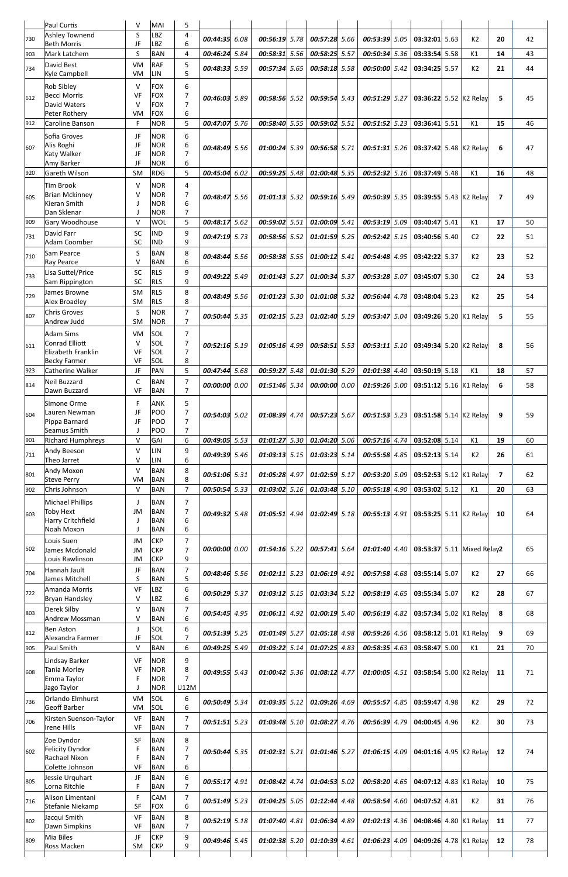|     | Paul Curtis                                 | $\vee$              | MAI                      | 5                                |                 |      |                 |      |                 |                 |      |                            |      |                |                |    |
|-----|---------------------------------------------|---------------------|--------------------------|----------------------------------|-----------------|------|-----------------|------|-----------------|-----------------|------|----------------------------|------|----------------|----------------|----|
| 730 | <b>Ashley Townend</b><br><b>Beth Morris</b> | S<br>JF             | <b>LBZ</b><br><b>LBZ</b> | 4<br>6                           | 00:44:35        | 6.08 | $00:56:19$ 5.78 |      | $00:57:28$ 5.66 | 00:53:39 5.05   |      | 03:32:01 5.63              |      | K <sub>2</sub> | 20             | 42 |
| 903 | Mark Latchem                                | S                   | <b>BAN</b>               | $\overline{4}$                   | 00:46:24 5.84   |      | $00:58:31$ 5.56 |      | 00:58:25 5.57   | 00:50:34 5.36   |      | 03:33:54 5.58              |      | K1             | 14             | 43 |
| 734 | David Best                                  | VM                  | <b>RAF</b>               | 5                                | 00:48:33 5.59   |      | $00:57:34$ 5.65 |      | 00:58:18 5.58   | 00:50:00 5.42   |      | 03:34:25 5.57              |      | K <sub>2</sub> | 21             | 44 |
|     | Kyle Campbell                               | <b>VM</b>           | LIN                      | 5                                |                 |      |                 |      |                 |                 |      |                            |      |                |                |    |
|     | <b>Rob Sibley</b>                           | $\vee$              | <b>FOX</b>               | 6                                |                 |      |                 |      |                 |                 |      |                            |      |                |                |    |
| 612 | <b>Becci Morris</b><br>David Waters         | VF<br>$\vee$        | <b>FOX</b><br><b>FOX</b> | $\overline{7}$<br>$\overline{7}$ | 00:46:03 5.89   |      | 00:58:56 5.52   |      | 00:59:54 5.43   | 00:51:29 5.27   |      | 03:36:22 5.52 K2 Relay     |      |                | 5              | 45 |
|     | Peter Rothery                               | <b>VM</b>           | <b>FOX</b>               | 6                                |                 |      |                 |      |                 |                 |      |                            |      |                |                |    |
| 912 | Caroline Banson                             | F                   | <b>NOR</b>               | 5                                | 00:47:07 5.76   |      | 00:58:40 5.55   |      | 00:59:02 5.51   | $00:51:52$ 5.23 |      | $03:36:41$ 5.51            |      | K1             | 15             | 46 |
|     | Sofia Groves                                | JF                  | <b>NOR</b>               | 6                                |                 |      |                 |      |                 |                 |      |                            |      |                |                |    |
| 607 | Alis Roghi<br>Katy Walker                   | JF<br>JF            | <b>NOR</b><br><b>NOR</b> | 6<br>$\overline{7}$              | 00:48:49 5.56   |      | $01:00:24$ 5.39 |      | 00:56:58 5.71   | $00:51:31$ 5.26 |      | 03:37:42 5.48 K2 Relay     |      |                | 6              | 47 |
|     | Amy Barker                                  | JF                  | <b>NOR</b>               | 6                                |                 |      |                 |      |                 |                 |      |                            |      |                |                |    |
| 920 | Gareth Wilson                               | <b>SM</b>           | <b>RDG</b>               | 5                                | 00:45:04        | 6.02 | 00:59:25 5.48   |      | 01:00:48 5.35   | $00:52:32$ 5.16 |      | 03:37:49 5.48              |      | K1             | 16             | 48 |
|     | Tim Brook                                   | $\vee$              | <b>NOR</b>               | 4                                |                 |      |                 |      |                 |                 |      |                            |      |                |                |    |
| 605 | <b>Brian Mckinney</b><br>Kieran Smith       | V<br>J              | <b>NOR</b><br><b>NOR</b> | 7<br>6                           | $00:48:47$ 5.56 |      | $01:01:13$ 5.32 |      | 00:59:16 5.49   | 00:50:39 5.35   |      | 03:39:55 5.43 K2 Relay     |      |                | 7              | 49 |
|     | Dan Sklenar                                 | J                   | <b>NOR</b>               | $\overline{7}$                   |                 |      |                 |      |                 |                 |      |                            |      |                |                |    |
| 909 | Gary Woodhouse                              | $\vee$              | <b>WOL</b>               | 5                                | $00:48:17$ 5.62 |      | 00:59:02 5.51   |      | 01:00:09 5.41   | $00:53:19$ 5.09 |      | 03:40:47 5.41              |      | K1             | 17             | 50 |
| 731 | David Farr                                  | SC                  | <b>IND</b>               | 9<br>9                           | 00:47:19 5.73   |      | $00:58:56$ 5.52 |      | $01:01:59$ 5.25 | $00:52:42$ 5.15 |      | 03:40:56 5.40              |      | C <sub>2</sub> | 22             | 51 |
|     | <b>Adam Coomber</b><br>Sam Pearce           | SC<br>S             | <b>IND</b><br><b>BAN</b> | 8                                |                 |      |                 |      |                 |                 |      |                            |      |                |                |    |
| 710 | Ray Pearce                                  | $\vee$              | <b>BAN</b>               | 6                                | $00:48:44$ 5.56 |      | 00:58:38 5.55   |      | $01:00:12$ 5.41 | 00:54:48 4.95   |      | 03:42:22 5.37              |      | K <sub>2</sub> | 23             | 52 |
| 733 | Lisa Suttel/Price                           | SC                  | <b>RLS</b>               | 9                                | 00:49:22 5.49   |      | 01:01:43 5.27   |      | 01:00:34 5.37   | 00:53:28 5.07   |      | 03:45:07 5.30              |      | C <sub>2</sub> | 24             | 53 |
|     | Sam Rippington                              | SC                  | <b>RLS</b>               | 9                                |                 |      |                 |      |                 |                 |      |                            |      |                |                |    |
| 729 | James Browne<br>Alex Broadley               | SM<br><b>SM</b>     | <b>RLS</b><br><b>RLS</b> | 8<br>8                           | 00:48:49        | 5.56 | $01:01:23$ 5.30 |      | $01:01:08$ 5.32 | $00:56:44$ 4.78 |      | 03:48:04 5.23              |      | K <sub>2</sub> | 25             | 54 |
| 807 | <b>Chris Groves</b>                         | S                   | <b>NOR</b>               | $\overline{7}$                   | 00:50:44 5.35   |      | $01:02:15$ 5.23 |      | 01:02:40 5.19   | 00:53:47 5.04   |      | 03:49:26 5.20 K1 Relay     |      |                | 5              | 55 |
|     | Andrew Judd                                 | SM                  | <b>NOR</b>               | $\overline{7}$                   |                 |      |                 |      |                 |                 |      |                            |      |                |                |    |
|     | <b>Adam Sims</b>                            | VM                  | SOL                      | $\overline{7}$                   |                 |      |                 |      |                 |                 |      |                            |      |                |                |    |
| 611 | Conrad Elliott<br>Elizabeth Franklin        | V<br>VF             | SOL<br>SOL               | $\overline{7}$                   | 00:52:16 5.19   |      | $01:05:16$ 4.99 |      | 00:58:51 5.53   | $00:53:11$ 5.10 |      | 03:49:34 5.20 K2 Relay     |      |                | 8              | 56 |
|     | <b>Becky Farmer</b>                         | VF                  | SOL                      | 8                                |                 |      |                 |      |                 |                 |      |                            |      |                |                |    |
| 923 | Catherine Walker                            | JF                  | PAN                      | 5                                | 00:47:44        | 5.68 | 00:59:27        | 5.48 | 01:01:30 5.29   | $01:01:38$ 4.40 |      | 03:50:19 5.18              |      | K1             | 18             | 57 |
| 814 | Neil Buzzard                                | C                   | <b>BAN</b>               | 7<br>$\overline{7}$              | 00:00:00        | 0.00 | 01:51:46 5.34   |      | 00:00:00 0.00   | $01:59:26$ 5.00 |      | 03:51:12 5.16 K1 Relay     |      |                | 6              | 58 |
| 604 | Dawn Buzzard                                | VF                  | <b>BAN</b>               |                                  |                 |      |                 |      |                 |                 |      |                            |      |                |                |    |
|     | Simone Orme<br>Lauren Newman                | F<br>JF             | <b>ANK</b><br>POO        | 5<br>$\overline{7}$              |                 |      |                 |      |                 | $00:51:53$ 5.23 |      |                            |      |                |                | 59 |
|     | Pippa Barnard                               | JF                  | <b>POO</b>               | $\overline{7}$                   | $00:54:03$ 5.02 |      | 01:08:39 4.74   |      | 00:57:23 5.67   |                 |      | 03:51:58 5.14 K2 Relay     |      |                | 9              |    |
|     | Seamus Smith                                | J                   | POO                      | $\overline{7}$                   |                 |      |                 |      |                 |                 |      |                            |      |                |                |    |
| 901 | <b>Richard Humphreys</b><br>Andy Beeson     | $\vee$<br>$\vee$    | GAI<br>LIN               | 6<br>9                           | 00:49:05        | 5.53 | 01:01:27        | 5.30 | 01:04:20 5.06   | 00:57:16        | 4.74 | 03:52:08 5.14              |      | K1             | 19             | 60 |
| 711 | Theo Jarret                                 | $\vee$              | LIN                      | 6                                | 00:49:39 5.46   |      | $01:03:13$ 5.15 |      | $01:03:23$ 5.14 | 00:55:58 4.85   |      | 03:52:13 5.14              |      | K2             | 26             | 61 |
| 801 | <b>Andy Moxon</b>                           | $\vee$              | <b>BAN</b>               | 8                                | 00:51:06 5.31   |      | 01:05:28 4.97   |      | 01:02:59 5.17   | 00:53:20 5.09   |      | 03:52:53 5.12 K1 Relay     |      |                | $\overline{7}$ | 62 |
| 902 | <b>Steve Perry</b><br>Chris Johnson         | <b>VM</b><br>$\vee$ | <b>BAN</b>               | 8<br>$\overline{7}$              |                 |      | $01:03:02$ 5.16 |      |                 |                 |      |                            |      |                | 20             | 63 |
|     |                                             |                     | <b>BAN</b><br><b>BAN</b> | $\overline{7}$                   | 00:50:54 5.33   |      |                 |      | $01:03:48$ 5.10 | 00:55:18        | 4.90 | 03:53:02 5.12              |      | K1             |                |    |
|     | <b>Michael Phillips</b>                     |                     |                          |                                  |                 |      |                 |      |                 |                 |      |                            |      |                |                |    |
|     |                                             | J                   |                          | 7                                |                 |      |                 |      |                 |                 |      |                            |      |                |                |    |
| 603 | Toby Hext<br>Harry Critchfield              | JM<br>J             | <b>BAN</b><br><b>BAN</b> | 6                                | 00:49:32 5.48   |      | $01:05:51$ 4.94 |      | $01:02:49$ 5.18 | $00:55:13$ 4.91 |      | 03:53:25 5.11 K2 Relay     |      |                | 10             | 64 |
|     | Noah Moxon                                  | J                   | <b>BAN</b>               | 6                                |                 |      |                 |      |                 |                 |      |                            |      |                |                |    |
|     | Louis Suen                                  | JM                  | <b>CKP</b>               | 7                                |                 |      |                 |      |                 |                 |      |                            |      |                |                |    |
| 502 | James Mcdonald<br>Louis Rawlinson           | JM<br>JM            | <b>CKP</b><br><b>CKP</b> | $\overline{7}$<br>9              | 00:00:00 0.00   |      | $01:54:16$ 5.22 |      | $00:57:41$ 5.64 | $01:01:40$ 4.40 |      | 03:53:37 5.11 Mixed Relay2 |      |                |                | 65 |
|     | Hannah Jault                                | JF                  | <b>BAN</b>               | $\overline{7}$                   |                 |      |                 |      |                 |                 |      |                            |      |                |                |    |
| 704 | James Mitchell                              | S                   | <b>BAN</b>               | 5                                | 00:48:46 5.56   |      | $01:02:11$ 5.23 |      | $01:06:19$ 4.91 | 00:57:58        | 4.68 | 03:55:14 5.07              |      | K2             | 27             | 66 |
| 722 | Amanda Morris                               | VF                  | <b>LBZ</b>               | 6                                | 00:50:29        | 5.37 | $01:03:12$ 5.15 |      | $01:03:34$ 5.12 | 00:58:19        | 4.65 | 03:55:34 5.07              |      | K <sub>2</sub> | 28             | 67 |
|     | Bryan Handsley                              | $\vee$<br>$\vee$    | <b>LBZ</b>               | 6                                |                 |      |                 |      |                 |                 |      |                            |      |                |                |    |
| 803 | Derek Silby<br>Andrew Mossman               | $\vee$              | <b>BAN</b><br><b>BAN</b> | $\overline{7}$<br>6              | 00:54:45        | 4.95 | $01:06:11$ 4.92 |      | 01:00:19 5.40   | $00:56:19$ 4.82 |      | 03:57:34 5.02 K1 Relay     |      |                | 8              | 68 |
| 812 | lBen Aston                                  | J                   | SOL                      | 6                                | 00:51:39 5.25   |      | 01:01:49 5.27   |      | $01:05:18$ 4.98 | 00:59:26 4.56   |      | 03:58:12 5.01 K1 Relay     |      |                | 9              | 69 |
| 905 | Alexandra Farmer                            | JF<br>$\vee$        | SOL                      | $\overline{7}$<br>6              |                 |      |                 |      |                 |                 |      |                            |      |                |                |    |
|     | Paul Smith                                  |                     | <b>BAN</b>               | q                                | 00:49:25 5.49   |      | $01:03:22$ 5.14 |      | $01:07:25$ 4.83 | $00:58:35$ 4.63 |      | 03:58:47                   | 5.00 | K1             | 21             | 70 |
|     | Lindsay Barker<br>Tania Morley              | VF<br>VF            | <b>NOR</b><br><b>NOR</b> | 8                                |                 |      |                 |      |                 |                 |      |                            |      |                |                |    |
| 608 | Emma Taylor                                 | F                   | <b>NOR</b>               | $\overline{7}$                   | 00:49:55 5.43   |      | $01:00:42$ 5.36 |      | $01:08:12$ 4.77 | $01:00:05$ 4.51 |      | 03:58:54 5.00 K2 Relay     |      |                | 11             | 71 |
|     | Jago Taylor                                 | J                   | <b>NOR</b>               | U12M                             |                 |      |                 |      |                 |                 |      |                            |      |                |                |    |
| 736 | Orlando Elmhurst<br>Geoff Barber            | VM<br>VM            | SOL<br>SOL               | 6<br>6                           | 00:50:49 5.34   |      | $01:03:35$ 5.12 |      | $01:09:26$ 4.69 | 00:55:57        | 4.85 | 03:59:47 4.98              |      | K2             | 29             | 72 |
|     | Kirsten Suenson-Taylor                      | VF                  | <b>BAN</b>               | $\overline{7}$                   |                 |      |                 |      |                 |                 |      |                            |      |                |                |    |
| 706 | <b>Irene Hills</b>                          | VF                  | <b>BAN</b>               | $\overline{7}$                   | $00:51:51$ 5.23 |      | $01:03:48$ 5.10 |      | $01:08:27$ 4.76 | 00:56:39 4.79   |      | 04:00:45 4.96              |      | K2             | 30             | 73 |
|     | Zoe Dyndor                                  | SF                  | <b>BAN</b>               | 8                                |                 |      |                 |      |                 |                 |      |                            |      |                |                |    |
| 602 | Felicity Dyndor                             | F                   | <b>BAN</b>               | 7<br>$\overline{7}$              | 00:50:44 5.35   |      | $01:02:31$ 5.21 |      | $01:01:46$ 5.27 | $01:06:15$ 4.09 |      | 04:01:16 4.95 K2 Relay     |      |                | 12             | 74 |
|     | Rachael Nixon<br>Colette Johnson            | F<br>VF             | <b>BAN</b><br><b>BAN</b> | 6                                |                 |      |                 |      |                 |                 |      |                            |      |                |                |    |
| 805 | Jessie Urquhart                             | JF                  | <b>BAN</b>               | 6                                | 00:55:17 4.91   |      | $01:08:42$ 4.74 |      | $01:04:53$ 5.02 | $00:58:20$ 4.65 |      | 04:07:12 4.83 K1 Relay     |      |                | 10             | 75 |
|     | Lorna Ritchie                               | F                   | <b>BAN</b>               | $\overline{7}$                   |                 |      |                 |      |                 |                 |      |                            |      |                |                |    |
| 716 | Alison Limentani                            | F                   | CAM<br><b>FOX</b>        | $\overline{7}$<br>6              | $00:51:49$ 5.23 |      | $01:04:25$ 5.05 |      | $01:12:44$ 4.48 | 00:58:54 4.60   |      | 04:07:52 4.81              |      | K2             | 31             | 76 |
|     | Stefanie Niekamp<br>Jacqui Smith            | SF<br>VF            | <b>BAN</b>               | 8                                |                 |      |                 |      |                 |                 |      |                            |      |                |                |    |
| 802 | Dawn Simpkins                               | VF                  | <b>BAN</b>               | $\overline{7}$                   | $00:52:19$ 5.18 |      | 01:07:40 4.81   |      | 01:06:34 4.89   | $01:02:13$ 4.36 |      | 04:08:46 4.80 K1 Relay     |      |                | 11             | 77 |
| 809 | Mia Biles<br>Ross Macken                    | JF<br>SM            | <b>CKP</b><br><b>CKP</b> | 9<br>9                           | 00:49:46 5.45   |      | $01:02:38$ 5.20 |      | $01:10:39$ 4.61 | $01:06:23$ 4.09 |      | 04:09:26 4.78 K1 Relay     |      |                | 12             | 78 |